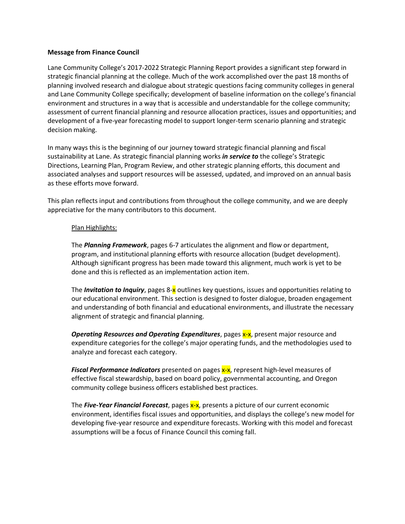## **Message from Finance Council**

Lane Community College's 2017-2022 Strategic Planning Report provides a significant step forward in strategic financial planning at the college. Much of the work accomplished over the past 18 months of planning involved research and dialogue about strategic questions facing community colleges in general and Lane Community College specifically; development of baseline information on the college's financial environment and structures in a way that is accessible and understandable for the college community; assessment of current financial planning and resource allocation practices, issues and opportunities; and development of a five-year forecasting model to support longer-term scenario planning and strategic decision making.

In many ways this is the beginning of our journey toward strategic financial planning and fiscal sustainability at Lane. As strategic financial planning works *in service to* the college's Strategic Directions, Learning Plan, Program Review, and other strategic planning efforts, this document and associated analyses and support resources will be assessed, updated, and improved on an annual basis as these efforts move forward.

This plan reflects input and contributions from throughout the college community, and we are deeply appreciative for the many contributors to this document.

## Plan Highlights:

The *Planning Framework*, pages 6-7 articulates the alignment and flow or department, program, and institutional planning efforts with resource allocation (budget development). Although significant progress has been made toward this alignment, much work is yet to be done and this is reflected as an implementation action item.

The *Invitation to Inquiry*, pages 8-x outlines key questions, issues and opportunities relating to our educational environment. This section is designed to foster dialogue, broaden engagement and understanding of both financial and educational environments, and illustrate the necessary alignment of strategic and financial planning.

**Operating Resources and Operating Expenditures**, pages x-x, present major resource and expenditure categories for the college's major operating funds, and the methodologies used to analyze and forecast each category.

**Fiscal Performance Indicators** presented on pages **x-x**, represent high-level measures of effective fiscal stewardship, based on board policy, governmental accounting, and Oregon community college business officers established best practices.

The *Five-Year Financial Forecast*, pages x-x, presents a picture of our current economic environment, identifies fiscal issues and opportunities, and displays the college's new model for developing five-year resource and expenditure forecasts. Working with this model and forecast assumptions will be a focus of Finance Council this coming fall.